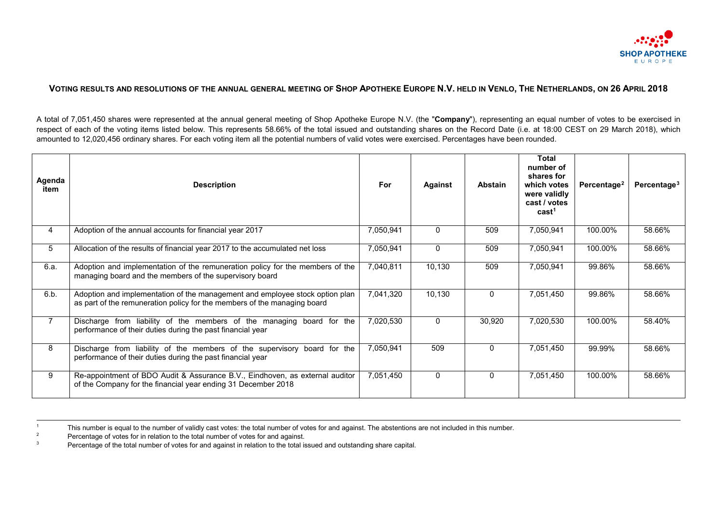<span id="page-0-2"></span><span id="page-0-1"></span><span id="page-0-0"></span>

## **VOTING RESULTS AND RESOLUTIONS OF THE ANNUAL GENERAL MEETING OF SHOP APOTHEKE EUROPE N.V. HELD IN VENLO, THE NETHERLANDS, ON 26 APRIL 2018**

A total of 7,051,450 shares were represented at the annual general meeting of Shop Apotheke Europe N.V. (the "**Company**"), representing an equal number of votes to be exercised in respect of each of the voting items listed below. This represents 58.66% of the total issued and outstanding shares on the Record Date (i.e. at 18:00 CEST on 29 March 2018), which amounted to 12,020,456 ordinary shares. For each voting item all the potential numbers of valid votes were exercised. Percentages have been rounded.

| Agenda<br>item | <b>Description</b>                                                                                                                                       | For       | <b>Against</b> | <b>Abstain</b> | <b>Total</b><br>number of<br>shares for<br>which votes<br>were validly<br>cast / votes<br>cast <sup>1</sup> | Percentage <sup>2</sup> | Percentage <sup>3</sup> |
|----------------|----------------------------------------------------------------------------------------------------------------------------------------------------------|-----------|----------------|----------------|-------------------------------------------------------------------------------------------------------------|-------------------------|-------------------------|
| 4              | Adoption of the annual accounts for financial year 2017                                                                                                  | 7,050,941 | $\mathbf{0}$   | 509            | 7,050,941                                                                                                   | 100.00%                 | 58.66%                  |
| 5              | Allocation of the results of financial year 2017 to the accumulated net loss                                                                             | 7,050,941 | $\mathbf{0}$   | 509            | 7,050,941                                                                                                   | 100.00%                 | 58.66%                  |
| 6.a.           | Adoption and implementation of the remuneration policy for the members of the<br>managing board and the members of the supervisory board                 | 7,040,811 | 10,130         | 509            | 7,050,941                                                                                                   | 99.86%                  | 58.66%                  |
| 6.b.           | Adoption and implementation of the management and employee stock option plan<br>as part of the remuneration policy for the members of the managing board | 7,041,320 | 10,130         | $\Omega$       | 7,051,450                                                                                                   | 99.86%                  | 58.66%                  |
| $\overline{7}$ | Discharge from liability of the members of the managing board for the<br>performance of their duties during the past financial year                      | 7,020,530 | $\mathbf{0}$   | 30,920         | 7,020,530                                                                                                   | 100.00%                 | 58.40%                  |
| 8              | Discharge from liability of the members of the supervisory board for the<br>performance of their duties during the past financial year                   | 7,050,941 | 509            | $\mathbf{0}$   | 7,051,450                                                                                                   | 99.99%                  | 58.66%                  |
| 9              | Re-appointment of BDO Audit & Assurance B.V., Eindhoven, as external auditor<br>of the Company for the financial year ending 31 December 2018            | 7,051,450 | $\mathbf{0}$   | $\mathbf{0}$   | 7,051,450                                                                                                   | 100.00%                 | 58.66%                  |

<sup>1</sup> This number is equal to the number of validly cast votes: the total number of votes for and against. The abstentions are not included in this number.

- <sup>2</sup> Percentage of votes for in relation to the total number of votes for and against.
- <sup>3</sup> Percentage of the total number of votes for and against in relation to the total issued and outstanding share capital.